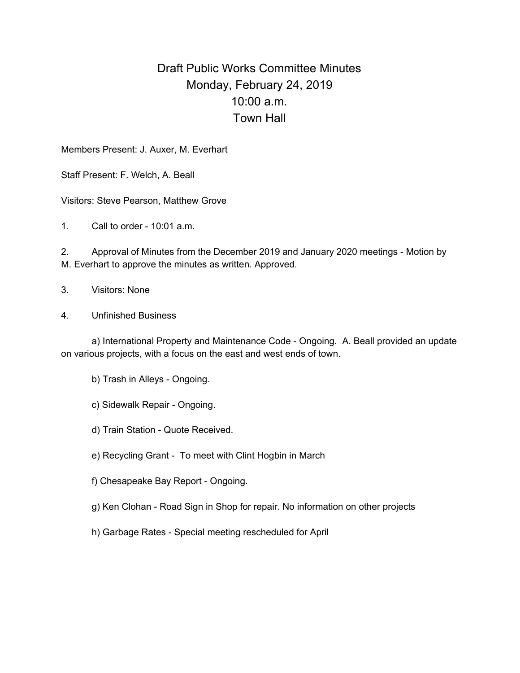## Draft Public Works Committee Minutes Monday, February 24, 2019 10:00 a.m. Town Hall

Members Present: J. Auxer, M. Everhart

Staff Present: F. Welch, A. Beall

Visitors: Steve Pearson, Matthew Grove

1. Call to order - 10:01 a.m.

2. Approval of Minutes from the December 2019 and January 2020 meetings - Motion by M. Everhart to approve the minutes as written. Approved.

- 3. Visitors: None
- 4. Unfinished Business

a) International Property and Maintenance Code - Ongoing. A. Beall provided an update on various projects, with a focus on the east and west ends of town.

- b) Trash in Alleys Ongoing.
- c) Sidewalk Repair Ongoing.

d) Train Station - Quote Received.

- e) Recycling Grant To meet with Clint Hogbin in March
- f) Chesapeake Bay Report Ongoing.
- g) Ken Clohan Road Sign in Shop for repair. No information on other projects
- h) Garbage Rates Special meeting rescheduled for April